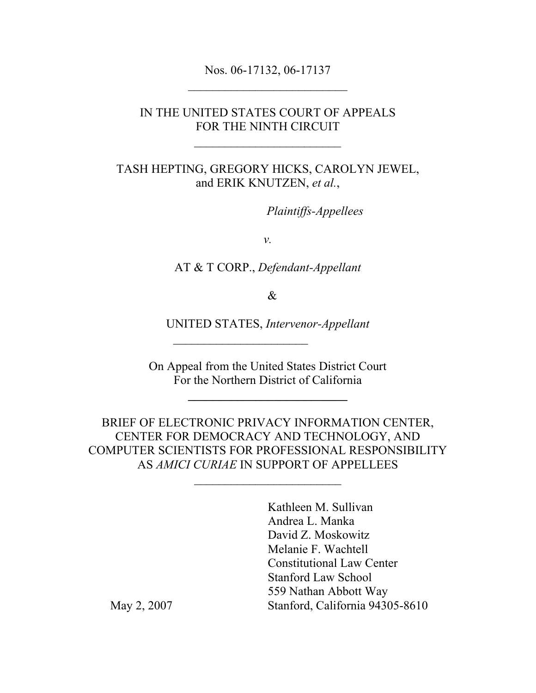Nos. 06-17132, 06-17137

#### IN THE UNITED STATES COURT OF APPEALS FOR THE NINTH CIRCUIT

TASH HEPTING, GREGORY HICKS, CAROLYN JEWEL, and ERIK KNUTZEN, *et al.*,

*Plaintiffs-Appellees* 

*v.*

AT & T CORP., *Defendant-Appellant*

&

UNITED STATES, *Intervenor-Appellant*

 $\overline{\phantom{a}}$  , where  $\overline{\phantom{a}}$ 

On Appeal from the United States District Court For the Northern District of California

**\_\_\_\_\_\_\_\_\_\_\_\_\_\_\_\_\_\_\_\_\_\_\_\_\_\_**

BRIEF OF ELECTRONIC PRIVACY INFORMATION CENTER, CENTER FOR DEMOCRACY AND TECHNOLOGY, AND COMPUTER SCIENTISTS FOR PROFESSIONAL RESPONSIBILITY AS *AMICI CURIAE* IN SUPPORT OF APPELLEES

Kathleen M. Sullivan Andrea L. Manka David Z. Moskowitz Melanie F. Wachtell Constitutional Law Center Stanford Law School 559 Nathan Abbott Way May 2, 2007 Stanford, California 94305-8610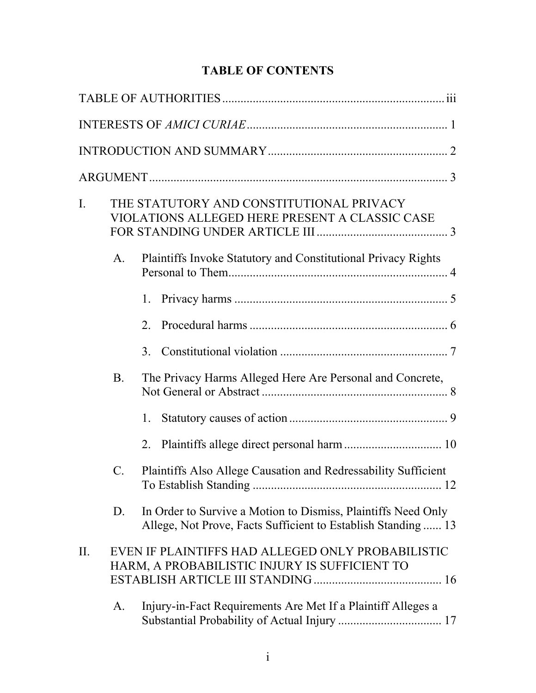# **TABLE OF CONTENTS**

| $\mathbf{I}$ . |                | THE STATUTORY AND CONSTITUTIONAL PRIVACY<br>VIOLATIONS ALLEGED HERE PRESENT A CLASSIC CASE                                    |
|----------------|----------------|-------------------------------------------------------------------------------------------------------------------------------|
|                | A.             | <b>Plaintiffs Invoke Statutory and Constitutional Privacy Rights</b>                                                          |
|                |                | 1.                                                                                                                            |
|                |                | 2.                                                                                                                            |
|                |                | 3 <sub>1</sub>                                                                                                                |
|                | <b>B</b> .     | The Privacy Harms Alleged Here Are Personal and Concrete,                                                                     |
|                |                | 1.                                                                                                                            |
|                |                | 2.                                                                                                                            |
|                | $\mathbf{C}$ . | Plaintiffs Also Allege Causation and Redressability Sufficient                                                                |
|                | D.             | In Order to Survive a Motion to Dismiss, Plaintiffs Need Only<br>Allege, Not Prove, Facts Sufficient to Establish Standing 13 |
| II.            |                | EVEN IF PLAINTIFFS HAD ALLEGED ONLY PROBABILISTIC<br>HARM, A PROBABILISTIC INJURY IS SUFFICIENT TO                            |
|                | A.             | Injury-in-Fact Requirements Are Met If a Plaintiff Alleges a                                                                  |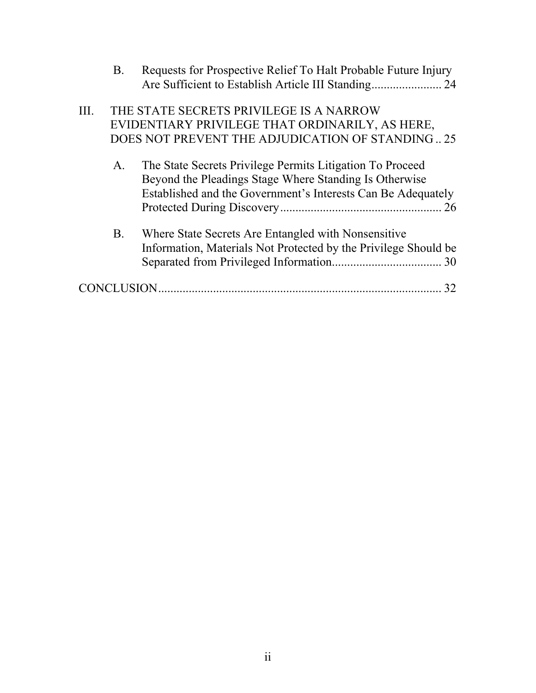|      | B.                | Requests for Prospective Relief To Halt Probable Future Injury                                                                                                                      |    |
|------|-------------------|-------------------------------------------------------------------------------------------------------------------------------------------------------------------------------------|----|
| III. |                   | THE STATE SECRETS PRIVILEGE IS A NARROW<br>EVIDENTIARY PRIVILEGE THAT ORDINARILY, AS HERE,<br>DOES NOT PREVENT THE ADJUDICATION OF STANDING25                                       |    |
|      | A.                | The State Secrets Privilege Permits Litigation To Proceed<br>Beyond the Pleadings Stage Where Standing Is Otherwise<br>Established and the Government's Interests Can Be Adequately | 26 |
|      | <b>B.</b>         | Where State Secrets Are Entangled with Nonsensitive<br>Information, Materials Not Protected by the Privilege Should be                                                              |    |
|      | <b>CONCLUSION</b> |                                                                                                                                                                                     |    |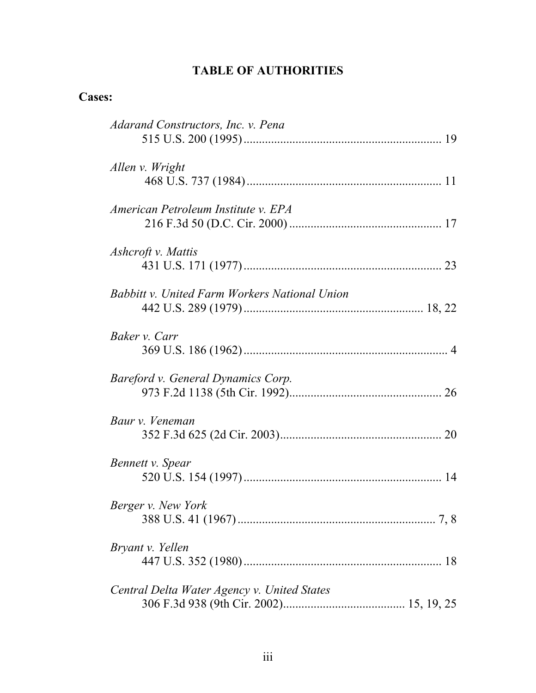# **TABLE OF AUTHORITIES**

## **Cases:**

| Adarand Constructors, Inc. v. Pena                   |
|------------------------------------------------------|
| Allen v. Wright                                      |
| American Petroleum Institute v. EPA                  |
| Ashcroft v. Mattis                                   |
| <b>Babbitt v. United Farm Workers National Union</b> |
| Baker v. Carr                                        |
| Bareford v. General Dynamics Corp.                   |
| Baur v. Veneman                                      |
| Bennett v. Spear                                     |
| Berger v. New York                                   |
| Bryant v. Yellen                                     |
| Central Delta Water Agency v. United States          |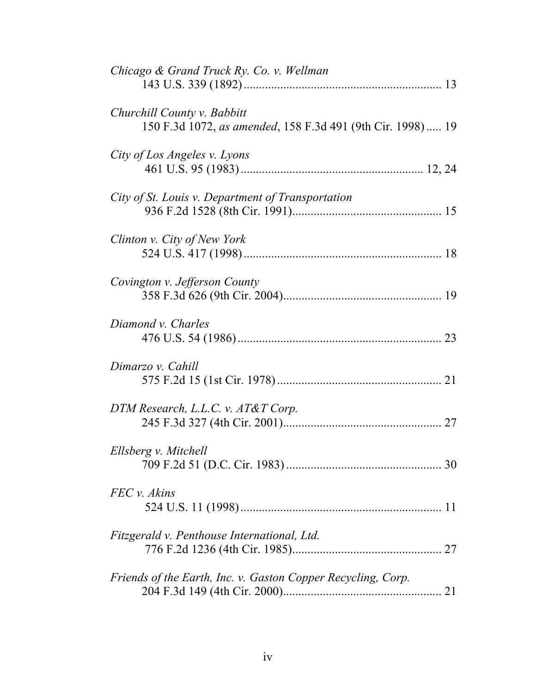| Chicago & Grand Truck Ry. Co. v. Wellman                                                  |  |
|-------------------------------------------------------------------------------------------|--|
| Churchill County v. Babbitt<br>150 F.3d 1072, as amended, 158 F.3d 491 (9th Cir. 1998) 19 |  |
| City of Los Angeles v. Lyons                                                              |  |
| City of St. Louis v. Department of Transportation                                         |  |
| Clinton v. City of New York                                                               |  |
| Covington v. Jefferson County                                                             |  |
| Diamond v. Charles                                                                        |  |
| Dimarzo v. Cahill                                                                         |  |
| DTM Research, L.L.C. v. AT&T Corp.                                                        |  |
| Ellsberg v. Mitchell                                                                      |  |
| FEC v. Akins                                                                              |  |
| Fitzgerald v. Penthouse International, Ltd.                                               |  |
| Friends of the Earth, Inc. v. Gaston Copper Recycling, Corp.                              |  |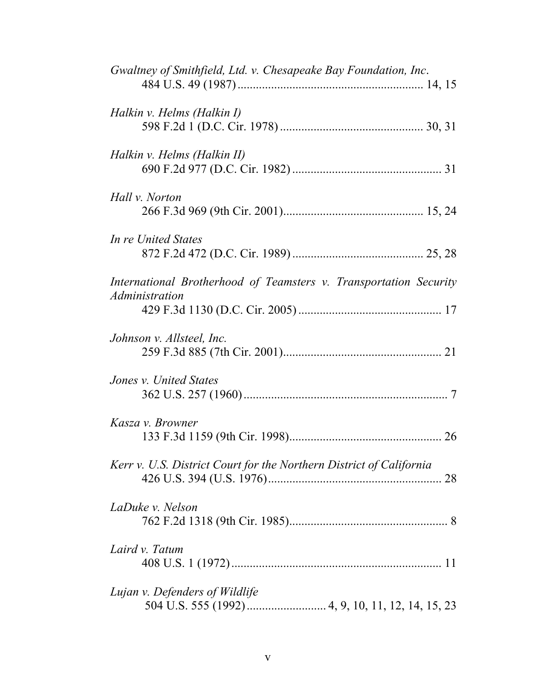| Gwaltney of Smithfield, Ltd. v. Chesapeake Bay Foundation, Inc.                     |  |
|-------------------------------------------------------------------------------------|--|
|                                                                                     |  |
| Halkin v. Helms (Halkin I)                                                          |  |
| Halkin v. Helms (Halkin II)                                                         |  |
| Hall v. Norton                                                                      |  |
| In re United States                                                                 |  |
| International Brotherhood of Teamsters v. Transportation Security<br>Administration |  |
| Johnson v. Allsteel, Inc.                                                           |  |
| Jones v. United States                                                              |  |
| Kasza v. Browner                                                                    |  |
| Kerr v. U.S. District Court for the Northern District of California<br>28           |  |
| LaDuke v. Nelson                                                                    |  |
| Laird v. Tatum                                                                      |  |
| Lujan v. Defenders of Wildlife                                                      |  |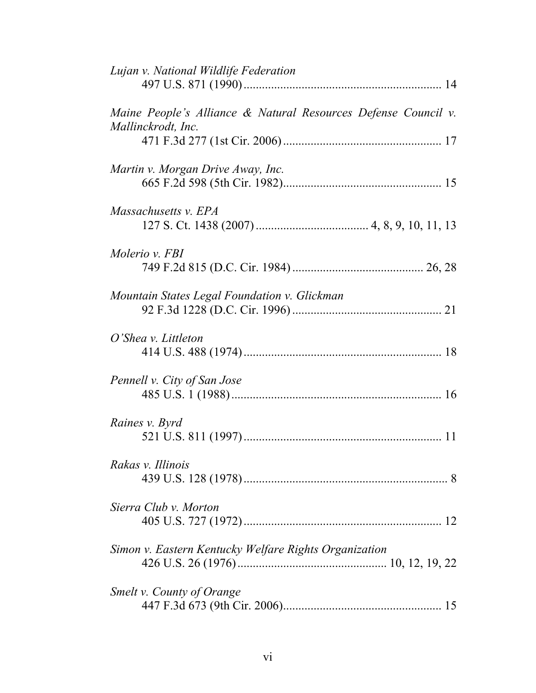| Lujan v. National Wildlife Federation                                                |
|--------------------------------------------------------------------------------------|
| Maine People's Alliance & Natural Resources Defense Council v.<br>Mallinckrodt, Inc. |
| Martin v. Morgan Drive Away, Inc.                                                    |
| Massachusetts v. EPA                                                                 |
| Molerio v. FBI                                                                       |
| Mountain States Legal Foundation v. Glickman                                         |
| O'Shea v. Littleton                                                                  |
| Pennell v. City of San Jose                                                          |
| Raines v. Byrd                                                                       |
| Rakas v. Illinois                                                                    |
| Sierra Club v. Morton                                                                |
| Simon v. Eastern Kentucky Welfare Rights Organization                                |
| Smelt v. County of Orange                                                            |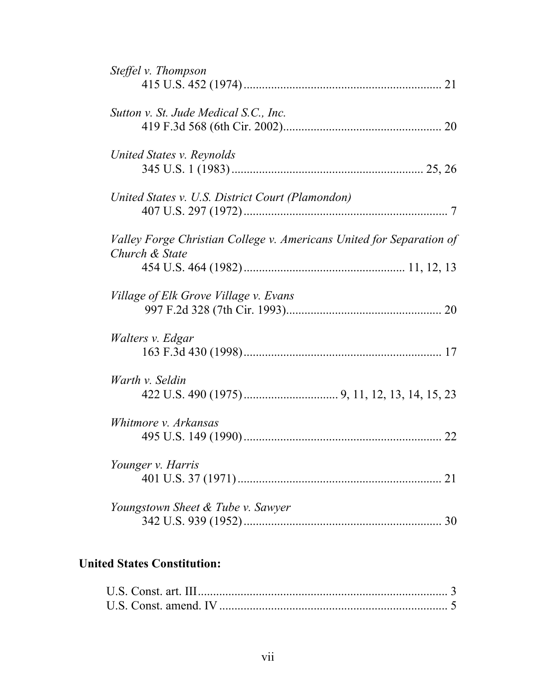| Steffel v. Thompson                                                  |
|----------------------------------------------------------------------|
|                                                                      |
| Sutton v. St. Jude Medical S.C., Inc.                                |
|                                                                      |
| United States v. Reynolds                                            |
|                                                                      |
| United States v. U.S. District Court (Plamondon)                     |
|                                                                      |
| Valley Forge Christian College v. Americans United for Separation of |
| Church & State                                                       |
|                                                                      |
| Village of Elk Grove Village v. Evans                                |
|                                                                      |
| Walters v. Edgar                                                     |
|                                                                      |
| Warth v. Seldin                                                      |
|                                                                      |
|                                                                      |
| Whitmore <i>v. Arkansas</i>                                          |
|                                                                      |
| Younger v. Harris<br>21                                              |
|                                                                      |
| Youngstown Sheet & Tube v. Sawyer                                    |
| 30                                                                   |

# **United States Constitution:**

| U.S. Const. amend. IV |  |
|-----------------------|--|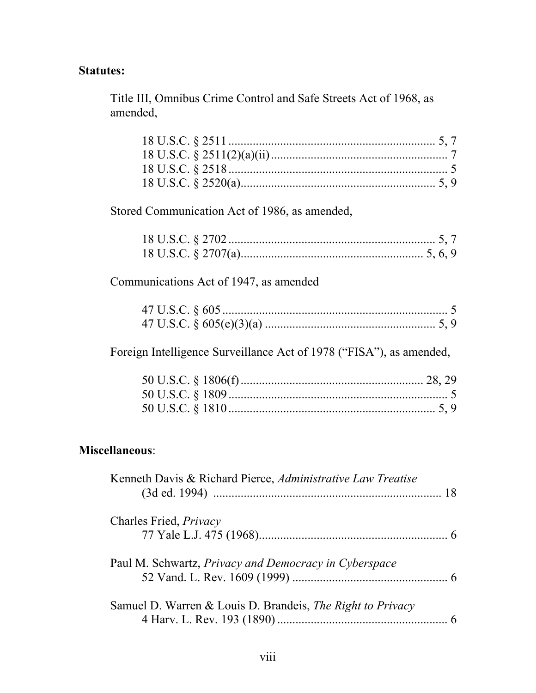# **Statutes:**

Title III, Omnibus Crime Control and Safe Streets Act of 1968, as amended,

| Stored Communication Act of 1986, as amended, |  |
|-----------------------------------------------|--|
|                                               |  |
|                                               |  |
| Communications Act of 1947, as amended        |  |
|                                               |  |
|                                               |  |
|                                               |  |

Foreign Intelligence Surveillance Act of 1978 ("FISA"), as amended,

# **Miscellaneous**:

| Kenneth Davis & Richard Pierce, Administrative Law Treatise  |  |
|--------------------------------------------------------------|--|
| Charles Fried, <i>Privacy</i>                                |  |
|                                                              |  |
| Paul M. Schwartz, <i>Privacy and Democracy in Cyberspace</i> |  |
|                                                              |  |
| Samuel D. Warren & Louis D. Brandeis, The Right to Privacy   |  |
|                                                              |  |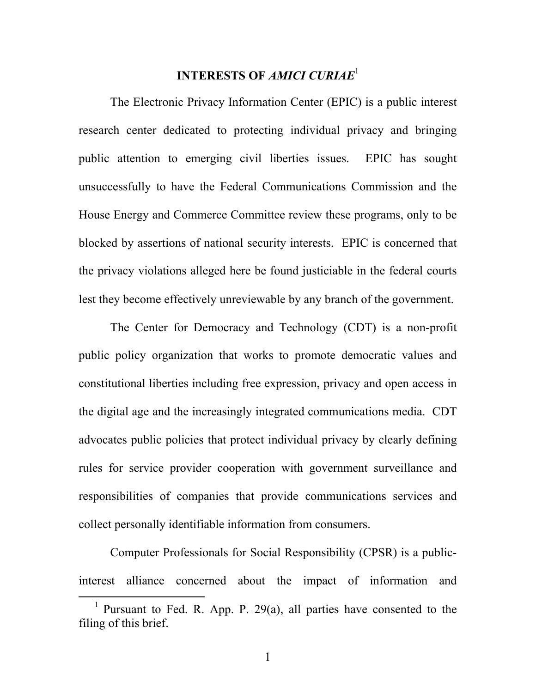#### **INTERESTS OF** *AMICI CURIAE*<sup>1</sup>

The Electronic Privacy Information Center (EPIC) is a public interest research center dedicated to protecting individual privacy and bringing public attention to emerging civil liberties issues. EPIC has sought unsuccessfully to have the Federal Communications Commission and the House Energy and Commerce Committee review these programs, only to be blocked by assertions of national security interests. EPIC is concerned that the privacy violations alleged here be found justiciable in the federal courts lest they become effectively unreviewable by any branch of the government.

The Center for Democracy and Technology (CDT) is a non-profit public policy organization that works to promote democratic values and constitutional liberties including free expression, privacy and open access in the digital age and the increasingly integrated communications media. CDT advocates public policies that protect individual privacy by clearly defining rules for service provider cooperation with government surveillance and responsibilities of companies that provide communications services and collect personally identifiable information from consumers.

Computer Professionals for Social Responsibility (CPSR) is a publicinterest alliance concerned about the impact of information and

<sup>&</sup>lt;sup>1</sup> Pursuant to Fed. R. App. P. 29(a), all parties have consented to the filing of this brief.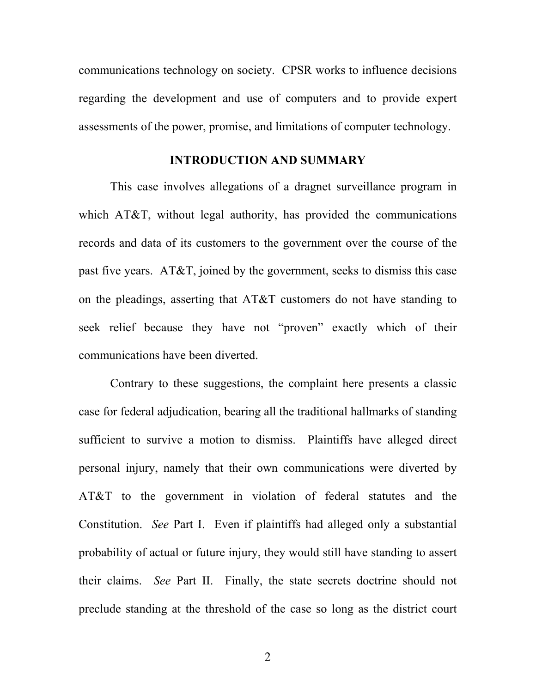communications technology on society. CPSR works to influence decisions regarding the development and use of computers and to provide expert assessments of the power, promise, and limitations of computer technology.

#### **INTRODUCTION AND SUMMARY**

This case involves allegations of a dragnet surveillance program in which AT&T, without legal authority, has provided the communications records and data of its customers to the government over the course of the past five years. AT&T, joined by the government, seeks to dismiss this case on the pleadings, asserting that AT&T customers do not have standing to seek relief because they have not "proven" exactly which of their communications have been diverted.

Contrary to these suggestions, the complaint here presents a classic case for federal adjudication, bearing all the traditional hallmarks of standing sufficient to survive a motion to dismiss. Plaintiffs have alleged direct personal injury, namely that their own communications were diverted by AT&T to the government in violation of federal statutes and the Constitution. *See* Part I. Even if plaintiffs had alleged only a substantial probability of actual or future injury, they would still have standing to assert their claims. *See* Part II. Finally, the state secrets doctrine should not preclude standing at the threshold of the case so long as the district court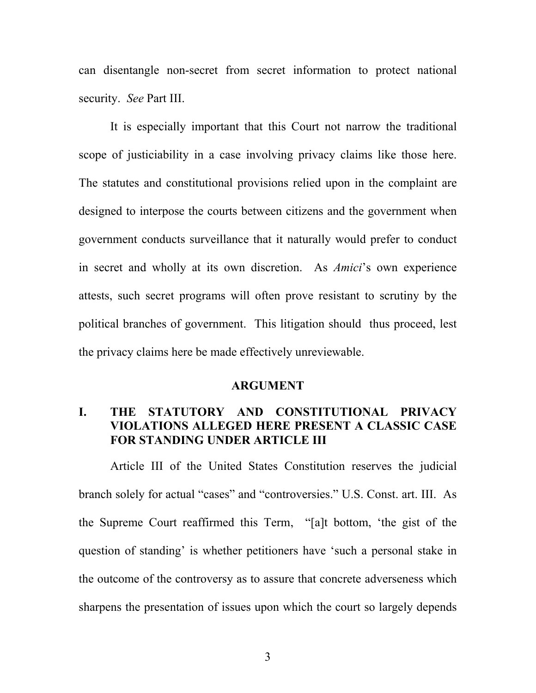can disentangle non-secret from secret information to protect national security. *See* Part III.

It is especially important that this Court not narrow the traditional scope of justiciability in a case involving privacy claims like those here. The statutes and constitutional provisions relied upon in the complaint are designed to interpose the courts between citizens and the government when government conducts surveillance that it naturally would prefer to conduct in secret and wholly at its own discretion. As *Amici*'s own experience attests, such secret programs will often prove resistant to scrutiny by the political branches of government. This litigation should thus proceed, lest the privacy claims here be made effectively unreviewable.

#### **ARGUMENT**

## **I. THE STATUTORY AND CONSTITUTIONAL PRIVACY VIOLATIONS ALLEGED HERE PRESENT A CLASSIC CASE FOR STANDING UNDER ARTICLE III**

Article III of the United States Constitution reserves the judicial branch solely for actual "cases" and "controversies." U.S. Const. art. III. As the Supreme Court reaffirmed this Term, "[a]t bottom, 'the gist of the question of standing' is whether petitioners have 'such a personal stake in the outcome of the controversy as to assure that concrete adverseness which sharpens the presentation of issues upon which the court so largely depends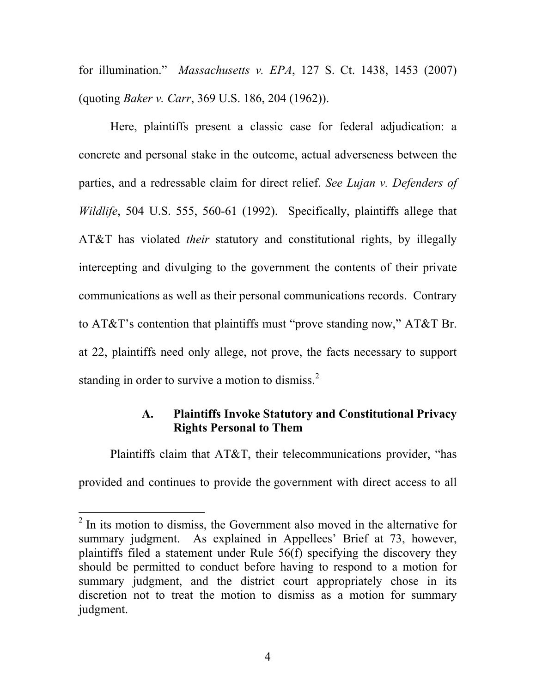for illumination." *Massachusetts v. EPA*, 127 S. Ct. 1438, 1453 (2007) (quoting *Baker v. Carr*, 369 U.S. 186, 204 (1962)).

Here, plaintiffs present a classic case for federal adjudication: a concrete and personal stake in the outcome, actual adverseness between the parties, and a redressable claim for direct relief. *See Lujan v. Defenders of Wildlife*, 504 U.S. 555, 560-61 (1992). Specifically, plaintiffs allege that AT&T has violated *their* statutory and constitutional rights, by illegally intercepting and divulging to the government the contents of their private communications as well as their personal communications records. Contrary to AT&T's contention that plaintiffs must "prove standing now," AT&T Br. at 22, plaintiffs need only allege, not prove, the facts necessary to support standing in order to survive a motion to dismiss.<sup>2</sup>

## **A. Plaintiffs Invoke Statutory and Constitutional Privacy Rights Personal to Them**

Plaintiffs claim that AT&T, their telecommunications provider, "has provided and continues to provide the government with direct access to all

 $\overline{a}$ 

 $2$  In its motion to dismiss, the Government also moved in the alternative for summary judgment. As explained in Appellees' Brief at 73, however, plaintiffs filed a statement under Rule 56(f) specifying the discovery they should be permitted to conduct before having to respond to a motion for summary judgment, and the district court appropriately chose in its discretion not to treat the motion to dismiss as a motion for summary judgment.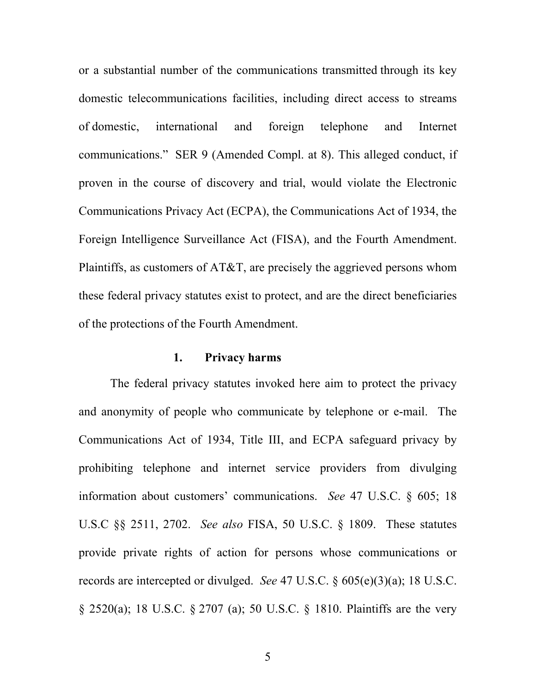or a substantial number of the communications transmitted through its key domestic telecommunications facilities, including direct access to streams of domestic, international and foreign telephone and Internet communications." SER 9 (Amended Compl. at 8). This alleged conduct, if proven in the course of discovery and trial, would violate the Electronic Communications Privacy Act (ECPA), the Communications Act of 1934, the Foreign Intelligence Surveillance Act (FISA), and the Fourth Amendment. Plaintiffs, as customers of AT&T, are precisely the aggrieved persons whom these federal privacy statutes exist to protect, and are the direct beneficiaries of the protections of the Fourth Amendment.

## **1. Privacy harms**

The federal privacy statutes invoked here aim to protect the privacy and anonymity of people who communicate by telephone or e-mail. The Communications Act of 1934, Title III, and ECPA safeguard privacy by prohibiting telephone and internet service providers from divulging information about customers' communications. *See* 47 U.S.C. § 605; 18 U.S.C §§ 2511, 2702. *See also* FISA, 50 U.S.C. § 1809. These statutes provide private rights of action for persons whose communications or records are intercepted or divulged. *See* 47 U.S.C. § 605(e)(3)(a); 18 U.S.C. § 2520(a); 18 U.S.C. § 2707 (a); 50 U.S.C. § 1810. Plaintiffs are the very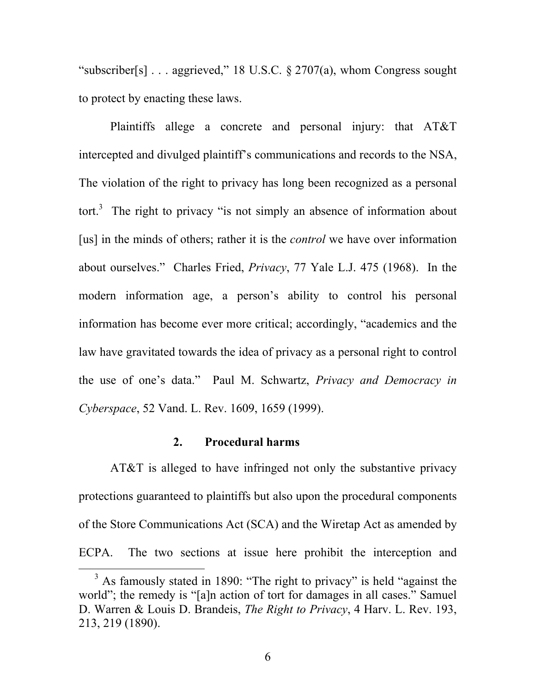"subscriber[s]  $\ldots$  aggrieved," 18 U.S.C. § 2707(a), whom Congress sought to protect by enacting these laws.

Plaintiffs allege a concrete and personal injury: that AT&T intercepted and divulged plaintiff's communications and records to the NSA, The violation of the right to privacy has long been recognized as a personal tort.<sup>3</sup> The right to privacy "is not simply an absence of information about [us] in the minds of others; rather it is the *control* we have over information about ourselves." Charles Fried, *Privacy*, 77 Yale L.J. 475 (1968). In the modern information age, a person's ability to control his personal information has become ever more critical; accordingly, "academics and the law have gravitated towards the idea of privacy as a personal right to control the use of one's data." Paul M. Schwartz, *Privacy and Democracy in Cyberspace*, 52 Vand. L. Rev. 1609, 1659 (1999).

#### **2. Procedural harms**

AT&T is alleged to have infringed not only the substantive privacy protections guaranteed to plaintiffs but also upon the procedural components of the Store Communications Act (SCA) and the Wiretap Act as amended by ECPA. The two sections at issue here prohibit the interception and

 $3$  As famously stated in 1890: "The right to privacy" is held "against the world"; the remedy is "[a]n action of tort for damages in all cases." Samuel D. Warren & Louis D. Brandeis, *The Right to Privacy*, 4 Harv. L. Rev. 193, 213, 219 (1890).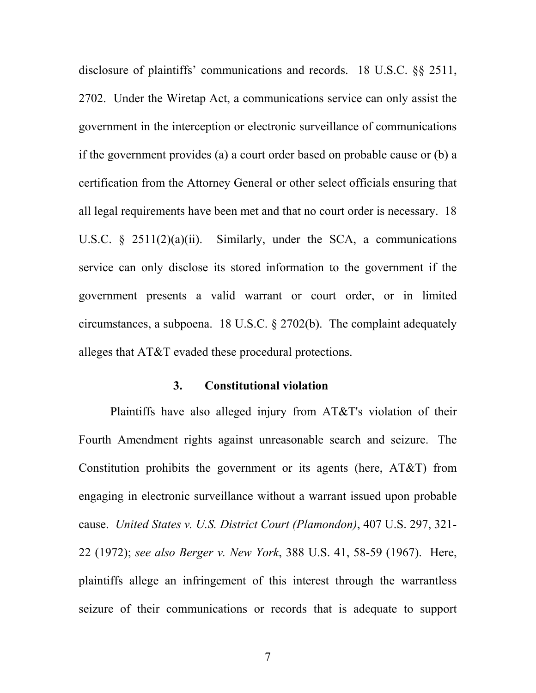disclosure of plaintiffs' communications and records. 18 U.S.C. §§ 2511, 2702. Under the Wiretap Act, a communications service can only assist the government in the interception or electronic surveillance of communications if the government provides (a) a court order based on probable cause or (b) a certification from the Attorney General or other select officials ensuring that all legal requirements have been met and that no court order is necessary. 18 U.S.C.  $\S$  2511(2)(a)(ii). Similarly, under the SCA, a communications service can only disclose its stored information to the government if the government presents a valid warrant or court order, or in limited circumstances, a subpoena. 18 U.S.C. § 2702(b). The complaint adequately alleges that AT&T evaded these procedural protections.

#### **3. Constitutional violation**

Plaintiffs have also alleged injury from AT&T's violation of their Fourth Amendment rights against unreasonable search and seizure. The Constitution prohibits the government or its agents (here, AT&T) from engaging in electronic surveillance without a warrant issued upon probable cause. *United States v. U.S. District Court (Plamondon)*, 407 U.S. 297, 321- 22 (1972); *see also Berger v. New York*, 388 U.S. 41, 58-59 (1967). Here, plaintiffs allege an infringement of this interest through the warrantless seizure of their communications or records that is adequate to support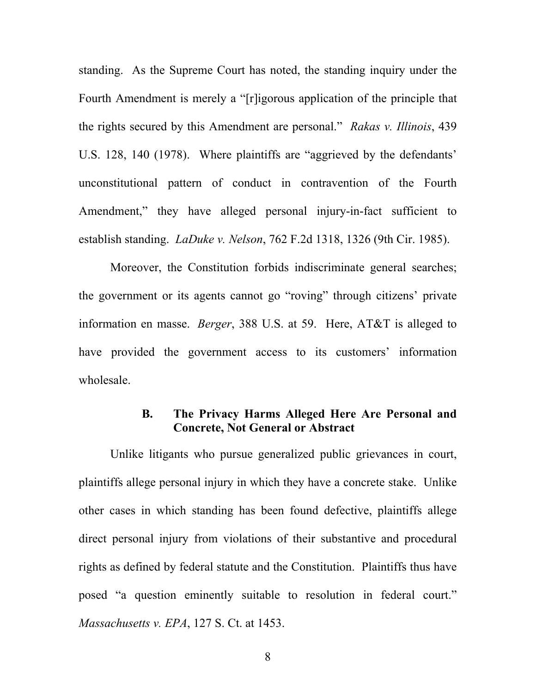standing. As the Supreme Court has noted, the standing inquiry under the Fourth Amendment is merely a "[r]igorous application of the principle that the rights secured by this Amendment are personal." *Rakas v. Illinois*, 439 U.S. 128, 140 (1978). Where plaintiffs are "aggrieved by the defendants' unconstitutional pattern of conduct in contravention of the Fourth Amendment," they have alleged personal injury-in-fact sufficient to establish standing. *LaDuke v. Nelson*, 762 F.2d 1318, 1326 (9th Cir. 1985).

Moreover, the Constitution forbids indiscriminate general searches; the government or its agents cannot go "roving" through citizens' private information en masse. *Berger*, 388 U.S. at 59. Here, AT&T is alleged to have provided the government access to its customers' information wholesale.

#### **B. The Privacy Harms Alleged Here Are Personal and Concrete, Not General or Abstract**

Unlike litigants who pursue generalized public grievances in court, plaintiffs allege personal injury in which they have a concrete stake. Unlike other cases in which standing has been found defective, plaintiffs allege direct personal injury from violations of their substantive and procedural rights as defined by federal statute and the Constitution. Plaintiffs thus have posed "a question eminently suitable to resolution in federal court." *Massachusetts v. EPA*, 127 S. Ct. at 1453.

8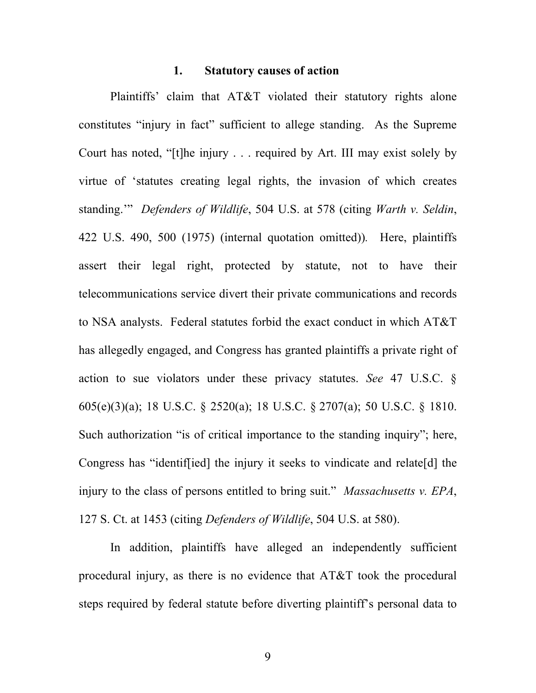#### **1. Statutory causes of action**

Plaintiffs' claim that AT&T violated their statutory rights alone constitutes "injury in fact" sufficient to allege standing. As the Supreme Court has noted, "[t]he injury . . . required by Art. III may exist solely by virtue of 'statutes creating legal rights, the invasion of which creates standing.'" *Defenders of Wildlife*, 504 U.S. at 578 (citing *Warth v. Seldin*, 422 U.S. 490, 500 (1975) (internal quotation omitted))*.* Here, plaintiffs assert their legal right, protected by statute, not to have their telecommunications service divert their private communications and records to NSA analysts. Federal statutes forbid the exact conduct in which AT&T has allegedly engaged, and Congress has granted plaintiffs a private right of action to sue violators under these privacy statutes. *See* 47 U.S.C. § 605(e)(3)(a); 18 U.S.C. § 2520(a); 18 U.S.C. § 2707(a); 50 U.S.C. § 1810. Such authorization "is of critical importance to the standing inquiry"; here, Congress has "identif[ied] the injury it seeks to vindicate and relate[d] the injury to the class of persons entitled to bring suit." *Massachusetts v. EPA*, 127 S. Ct. at 1453 (citing *Defenders of Wildlife*, 504 U.S. at 580).

In addition, plaintiffs have alleged an independently sufficient procedural injury, as there is no evidence that AT&T took the procedural steps required by federal statute before diverting plaintiff's personal data to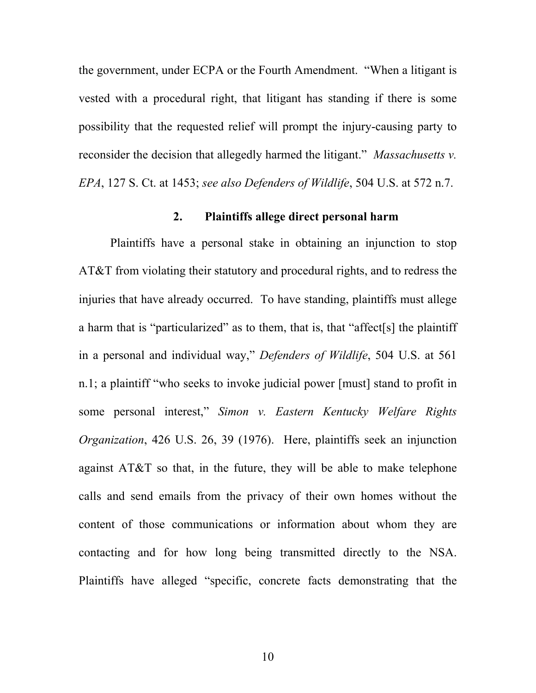the government, under ECPA or the Fourth Amendment. "When a litigant is vested with a procedural right, that litigant has standing if there is some possibility that the requested relief will prompt the injury-causing party to reconsider the decision that allegedly harmed the litigant." *Massachusetts v. EPA*, 127 S. Ct. at 1453; *see also Defenders of Wildlife*, 504 U.S. at 572 n.7.

#### **2. Plaintiffs allege direct personal harm**

Plaintiffs have a personal stake in obtaining an injunction to stop AT&T from violating their statutory and procedural rights, and to redress the injuries that have already occurred. To have standing, plaintiffs must allege a harm that is "particularized" as to them, that is, that "affect[s] the plaintiff in a personal and individual way," *Defenders of Wildlife*, 504 U.S. at 561 n.1; a plaintiff "who seeks to invoke judicial power [must] stand to profit in some personal interest," *Simon v. Eastern Kentucky Welfare Rights Organization*, 426 U.S. 26, 39 (1976). Here, plaintiffs seek an injunction against AT&T so that, in the future, they will be able to make telephone calls and send emails from the privacy of their own homes without the content of those communications or information about whom they are contacting and for how long being transmitted directly to the NSA. Plaintiffs have alleged "specific, concrete facts demonstrating that the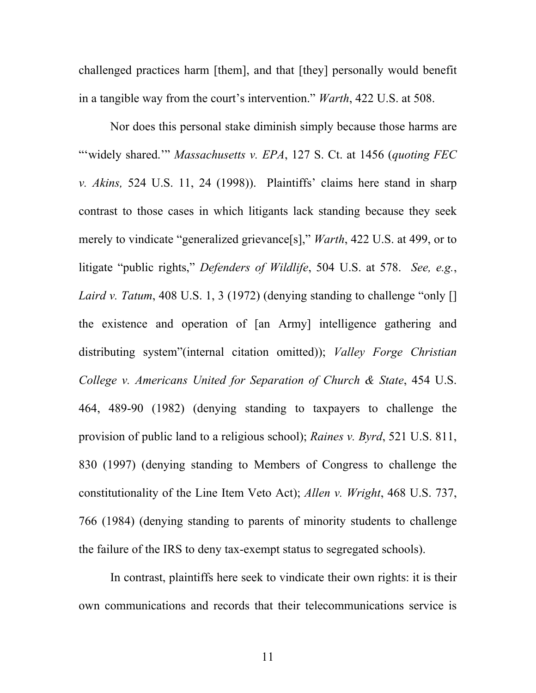challenged practices harm [them], and that [they] personally would benefit in a tangible way from the court's intervention." *Warth*, 422 U.S. at 508.

Nor does this personal stake diminish simply because those harms are "'widely shared.'" *Massachusetts v. EPA*, 127 S. Ct. at 1456 (*quoting FEC v. Akins,* 524 U.S. 11, 24 (1998)). Plaintiffs' claims here stand in sharp contrast to those cases in which litigants lack standing because they seek merely to vindicate "generalized grievance[s]," *Warth*, 422 U.S. at 499, or to litigate "public rights," *Defenders of Wildlife*, 504 U.S. at 578. *See, e.g.*, *Laird v. Tatum*, 408 U.S. 1, 3 (1972) (denying standing to challenge "only [] the existence and operation of [an Army] intelligence gathering and distributing system"(internal citation omitted)); *Valley Forge Christian College v. Americans United for Separation of Church & State*, 454 U.S. 464, 489-90 (1982) (denying standing to taxpayers to challenge the provision of public land to a religious school); *Raines v. Byrd*, 521 U.S. 811, 830 (1997) (denying standing to Members of Congress to challenge the constitutionality of the Line Item Veto Act); *Allen v. Wright*, 468 U.S. 737, 766 (1984) (denying standing to parents of minority students to challenge the failure of the IRS to deny tax-exempt status to segregated schools).

In contrast, plaintiffs here seek to vindicate their own rights: it is their own communications and records that their telecommunications service is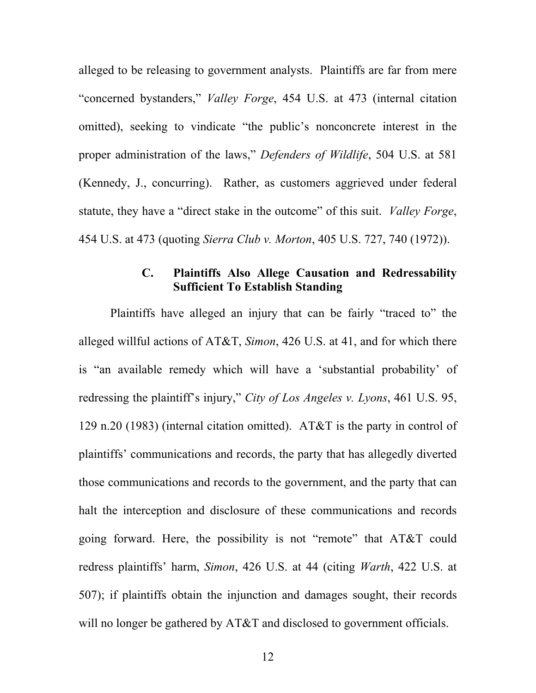alleged to be releasing to government analysts. Plaintiffs are far from mere "concerned bystanders," *Valley Forge*, 454 U.S. at 473 (internal citation omitted), seeking to vindicate "the public's nonconcrete interest in the proper administration of the laws," *Defenders of Wildlife*, 504 U.S. at 581 (Kennedy, J., concurring). Rather, as customers aggrieved under federal statute, they have a "direct stake in the outcome" of this suit. *Valley Forge*, 454 U.S. at 473 (quoting *Sierra Club v. Morton*, 405 U.S. 727, 740 (1972)).

#### **C. Plaintiffs Also Allege Causation and Redressability Sufficient To Establish Standing**

Plaintiffs have alleged an injury that can be fairly "traced to" the alleged willful actions of AT&T, *Simon*, 426 U.S. at 41, and for which there is "an available remedy which will have a 'substantial probability' of redressing the plaintiff's injury," *City of Los Angeles v. Lyons*, 461 U.S. 95, 129 n.20 (1983) (internal citation omitted). AT&T is the party in control of plaintiffs' communications and records, the party that has allegedly diverted those communications and records to the government, and the party that can halt the interception and disclosure of these communications and records going forward. Here, the possibility is not "remote" that AT&T could redress plaintiffs' harm, *Simon*, 426 U.S. at 44 (citing *Warth*, 422 U.S. at 507); if plaintiffs obtain the injunction and damages sought, their records will no longer be gathered by AT&T and disclosed to government officials.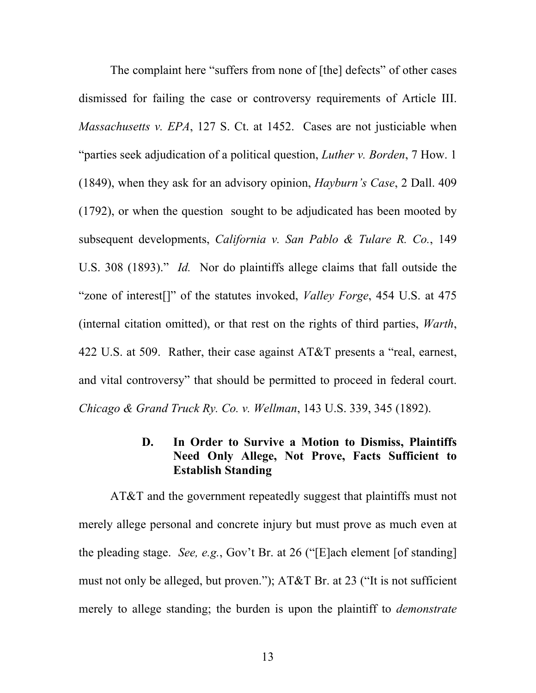The complaint here "suffers from none of [the] defects" of other cases dismissed for failing the case or controversy requirements of Article III. *Massachusetts v. EPA*, 127 S. Ct. at 1452. Cases are not justiciable when "parties seek adjudication of a political question, *Luther v. Borden*, 7 How. 1 (1849), when they ask for an advisory opinion, *Hayburn's Case*, 2 Dall. 409 (1792), or when the question sought to be adjudicated has been mooted by subsequent developments, *California v. San Pablo & Tulare R. Co.*, 149 U.S. 308 (1893)." *Id.* Nor do plaintiffs allege claims that fall outside the "zone of interest[]" of the statutes invoked, *Valley Forge*, 454 U.S. at 475 (internal citation omitted), or that rest on the rights of third parties, *Warth*, 422 U.S. at 509. Rather, their case against AT&T presents a "real, earnest, and vital controversy" that should be permitted to proceed in federal court. *Chicago & Grand Truck Ry. Co. v. Wellman*, 143 U.S. 339, 345 (1892).

#### **D. In Order to Survive a Motion to Dismiss, Plaintiffs Need Only Allege, Not Prove, Facts Sufficient to Establish Standing**

AT&T and the government repeatedly suggest that plaintiffs must not merely allege personal and concrete injury but must prove as much even at the pleading stage. *See, e.g.*, Gov't Br. at 26 ("[E]ach element [of standing] must not only be alleged, but proven."); AT&T Br. at 23 ("It is not sufficient merely to allege standing; the burden is upon the plaintiff to *demonstrate*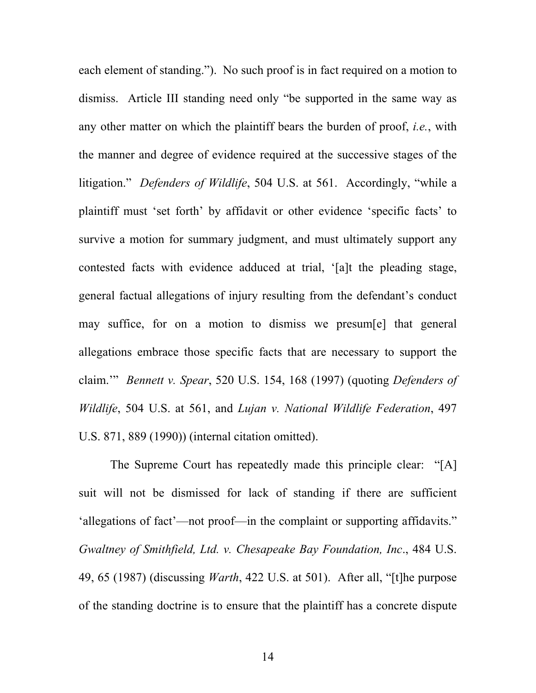each element of standing."). No such proof is in fact required on a motion to dismiss. Article III standing need only "be supported in the same way as any other matter on which the plaintiff bears the burden of proof, *i.e.*, with the manner and degree of evidence required at the successive stages of the litigation." *Defenders of Wildlife*, 504 U.S. at 561. Accordingly, "while a plaintiff must 'set forth' by affidavit or other evidence 'specific facts' to survive a motion for summary judgment, and must ultimately support any contested facts with evidence adduced at trial, '[a]t the pleading stage, general factual allegations of injury resulting from the defendant's conduct may suffice, for on a motion to dismiss we presum[e] that general allegations embrace those specific facts that are necessary to support the claim.'" *Bennett v. Spear*, 520 U.S. 154, 168 (1997) (quoting *Defenders of Wildlife*, 504 U.S. at 561, and *Lujan v. National Wildlife Federation*, 497 U.S. 871, 889 (1990)) (internal citation omitted).

The Supreme Court has repeatedly made this principle clear: "[A] suit will not be dismissed for lack of standing if there are sufficient 'allegations of fact'—not proof—in the complaint or supporting affidavits." *Gwaltney of Smithfield, Ltd. v. Chesapeake Bay Foundation, Inc*., 484 U.S. 49, 65 (1987) (discussing *Warth*, 422 U.S. at 501). After all, "[t]he purpose of the standing doctrine is to ensure that the plaintiff has a concrete dispute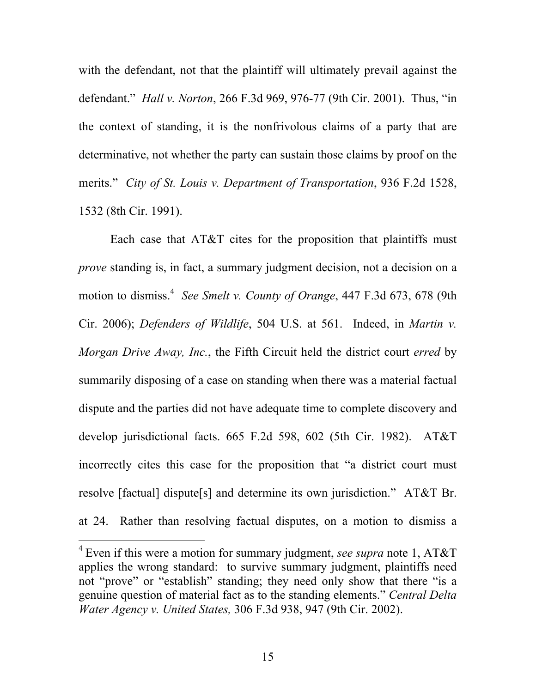with the defendant, not that the plaintiff will ultimately prevail against the defendant." *Hall v. Norton*, 266 F.3d 969, 976-77 (9th Cir. 2001). Thus, "in the context of standing, it is the nonfrivolous claims of a party that are determinative, not whether the party can sustain those claims by proof on the merits." *City of St. Louis v. Department of Transportation*, 936 F.2d 1528, 1532 (8th Cir. 1991).

Each case that AT&T cites for the proposition that plaintiffs must *prove* standing is, in fact, a summary judgment decision, not a decision on a motion to dismiss. <sup>4</sup> *See Smelt v. County of Orange*, 447 F.3d 673, 678 (9th Cir. 2006); *Defenders of Wildlife*, 504 U.S. at 561. Indeed, in *Martin v. Morgan Drive Away, Inc.*, the Fifth Circuit held the district court *erred* by summarily disposing of a case on standing when there was a material factual dispute and the parties did not have adequate time to complete discovery and develop jurisdictional facts. 665 F.2d 598, 602 (5th Cir. 1982). AT&T incorrectly cites this case for the proposition that "a district court must resolve [factual] dispute[s] and determine its own jurisdiction." AT&T Br. at 24. Rather than resolving factual disputes, on a motion to dismiss a

 $\overline{a}$ 

15

<sup>4</sup> Even if this were a motion for summary judgment, *see supra* note 1, AT&T applies the wrong standard: to survive summary judgment, plaintiffs need not "prove" or "establish" standing; they need only show that there "is a genuine question of material fact as to the standing elements." *Central Delta Water Agency v. United States,* 306 F.3d 938, 947 (9th Cir. 2002).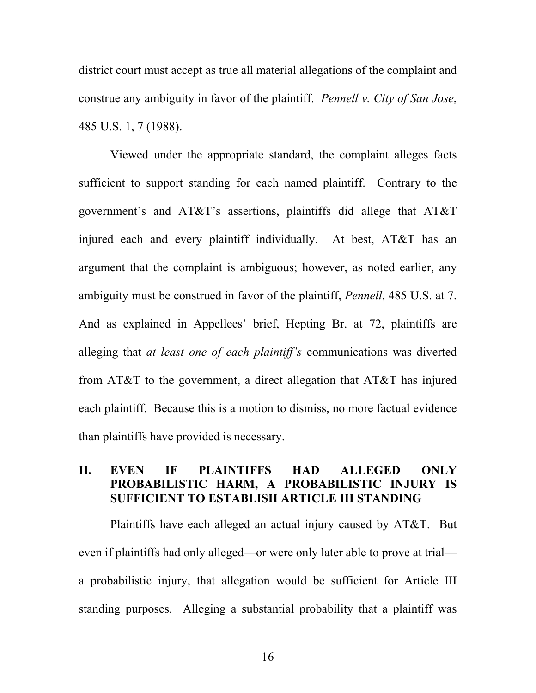district court must accept as true all material allegations of the complaint and construe any ambiguity in favor of the plaintiff. *Pennell v. City of San Jose*, 485 U.S. 1, 7 (1988).

Viewed under the appropriate standard, the complaint alleges facts sufficient to support standing for each named plaintiff. Contrary to the government's and AT&T's assertions, plaintiffs did allege that AT&T injured each and every plaintiff individually. At best, AT&T has an argument that the complaint is ambiguous; however, as noted earlier, any ambiguity must be construed in favor of the plaintiff, *Pennell*, 485 U.S. at 7. And as explained in Appellees' brief, Hepting Br. at 72, plaintiffs are alleging that *at least one of each plaintiff's* communications was diverted from AT&T to the government, a direct allegation that AT&T has injured each plaintiff. Because this is a motion to dismiss, no more factual evidence than plaintiffs have provided is necessary.

#### **II. EVEN IF PLAINTIFFS HAD ALLEGED ONLY PROBABILISTIC HARM, A PROBABILISTIC INJURY IS SUFFICIENT TO ESTABLISH ARTICLE III STANDING**

Plaintiffs have each alleged an actual injury caused by AT&T. But even if plaintiffs had only alleged—or were only later able to prove at trial a probabilistic injury, that allegation would be sufficient for Article III standing purposes. Alleging a substantial probability that a plaintiff was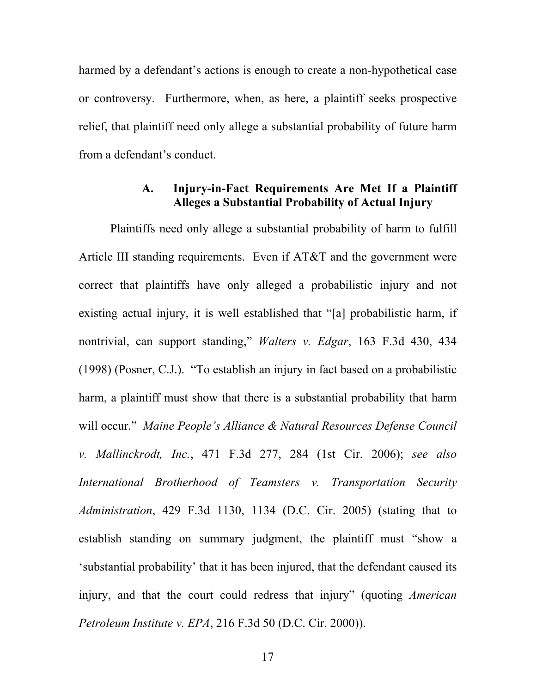harmed by a defendant's actions is enough to create a non-hypothetical case or controversy. Furthermore, when, as here, a plaintiff seeks prospective relief, that plaintiff need only allege a substantial probability of future harm from a defendant's conduct.

#### **A. Injury-in-Fact Requirements Are Met If a Plaintiff Alleges a Substantial Probability of Actual Injury**

Plaintiffs need only allege a substantial probability of harm to fulfill Article III standing requirements. Even if AT&T and the government were correct that plaintiffs have only alleged a probabilistic injury and not existing actual injury, it is well established that "[a] probabilistic harm, if nontrivial, can support standing," *Walters v. Edgar*, 163 F.3d 430, 434 (1998) (Posner, C.J.). "To establish an injury in fact based on a probabilistic harm, a plaintiff must show that there is a substantial probability that harm will occur." *Maine People's Alliance & Natural Resources Defense Council v. Mallinckrodt, Inc.*, 471 F.3d 277, 284 (1st Cir. 2006); *see also International Brotherhood of Teamsters v. Transportation Security Administration*, 429 F.3d 1130, 1134 (D.C. Cir. 2005) (stating that to establish standing on summary judgment, the plaintiff must "show a 'substantial probability' that it has been injured, that the defendant caused its injury, and that the court could redress that injury" (quoting *American Petroleum Institute v. EPA*, 216 F.3d 50 (D.C. Cir. 2000)).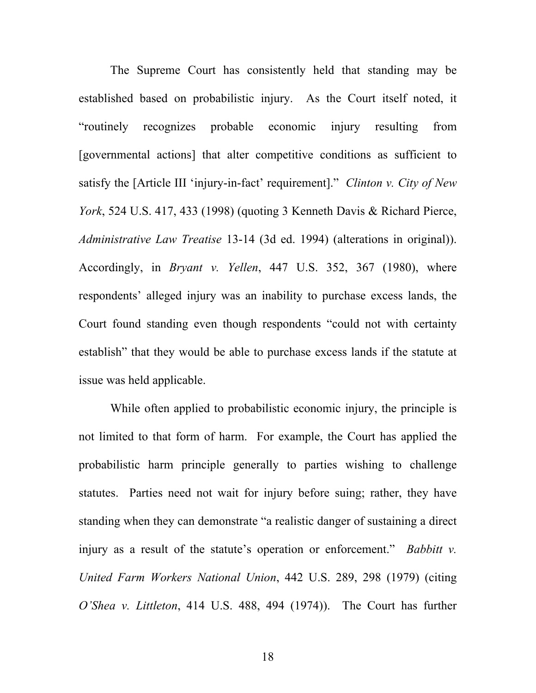The Supreme Court has consistently held that standing may be established based on probabilistic injury. As the Court itself noted, it "routinely recognizes probable economic injury resulting from [governmental actions] that alter competitive conditions as sufficient to satisfy the [Article III 'injury-in-fact' requirement]." *Clinton v. City of New York*, 524 U.S. 417, 433 (1998) (quoting 3 Kenneth Davis & Richard Pierce, *Administrative Law Treatise* 13-14 (3d ed. 1994) (alterations in original)). Accordingly, in *Bryant v. Yellen*, 447 U.S. 352, 367 (1980), where respondents' alleged injury was an inability to purchase excess lands, the Court found standing even though respondents "could not with certainty establish" that they would be able to purchase excess lands if the statute at issue was held applicable.

While often applied to probabilistic economic injury, the principle is not limited to that form of harm. For example, the Court has applied the probabilistic harm principle generally to parties wishing to challenge statutes. Parties need not wait for injury before suing; rather, they have standing when they can demonstrate "a realistic danger of sustaining a direct injury as a result of the statute's operation or enforcement." *Babbitt v. United Farm Workers National Union*, 442 U.S. 289, 298 (1979) (citing *O'Shea v. Littleton*, 414 U.S. 488, 494 (1974)). The Court has further

18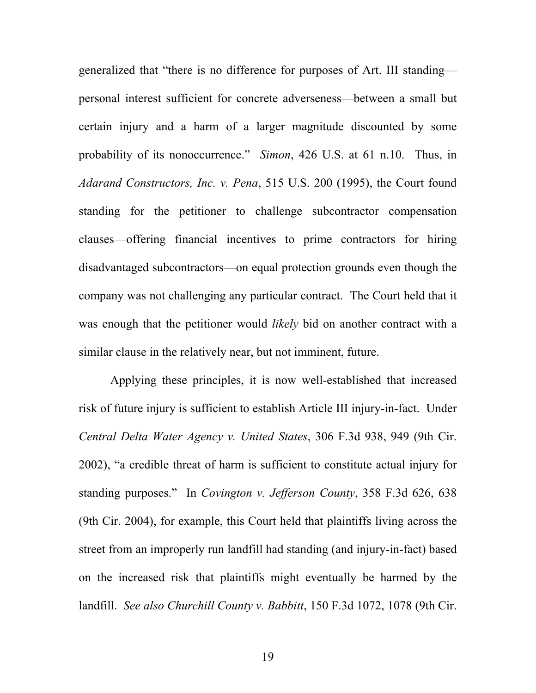generalized that "there is no difference for purposes of Art. III standing personal interest sufficient for concrete adverseness—between a small but certain injury and a harm of a larger magnitude discounted by some probability of its nonoccurrence." *Simon*, 426 U.S. at 61 n.10. Thus, in *Adarand Constructors, Inc. v. Pena*, 515 U.S. 200 (1995), the Court found standing for the petitioner to challenge subcontractor compensation clauses—offering financial incentives to prime contractors for hiring disadvantaged subcontractors—on equal protection grounds even though the company was not challenging any particular contract. The Court held that it was enough that the petitioner would *likely* bid on another contract with a similar clause in the relatively near, but not imminent, future.

Applying these principles, it is now well-established that increased risk of future injury is sufficient to establish Article III injury-in-fact. Under *Central Delta Water Agency v. United States*, 306 F.3d 938, 949 (9th Cir. 2002), "a credible threat of harm is sufficient to constitute actual injury for standing purposes." In *Covington v. Jefferson County*, 358 F.3d 626, 638 (9th Cir. 2004), for example, this Court held that plaintiffs living across the street from an improperly run landfill had standing (and injury-in-fact) based on the increased risk that plaintiffs might eventually be harmed by the landfill. *See also Churchill County v. Babbitt*, 150 F.3d 1072, 1078 (9th Cir.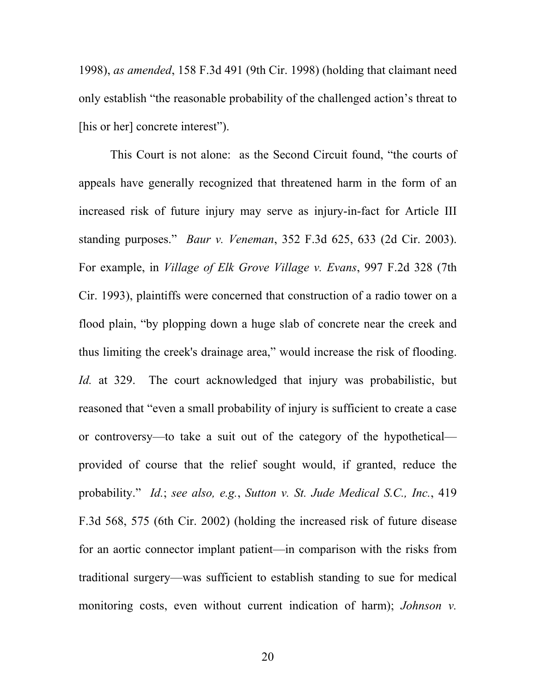1998), *as amended*, 158 F.3d 491 (9th Cir. 1998) (holding that claimant need only establish "the reasonable probability of the challenged action's threat to [his or her] concrete interest").

This Court is not alone: as the Second Circuit found, "the courts of appeals have generally recognized that threatened harm in the form of an increased risk of future injury may serve as injury-in-fact for Article III standing purposes." *Baur v. Veneman*, 352 F.3d 625, 633 (2d Cir. 2003). For example, in *Village of Elk Grove Village v. Evans*, 997 F.2d 328 (7th Cir. 1993), plaintiffs were concerned that construction of a radio tower on a flood plain, "by plopping down a huge slab of concrete near the creek and thus limiting the creek's drainage area," would increase the risk of flooding. *Id.* at 329. The court acknowledged that injury was probabilistic, but reasoned that "even a small probability of injury is sufficient to create a case or controversy—to take a suit out of the category of the hypothetical provided of course that the relief sought would, if granted, reduce the probability." *Id.*; *see also, e.g.*, *Sutton v. St. Jude Medical S.C., Inc.*, 419 F.3d 568, 575 (6th Cir. 2002) (holding the increased risk of future disease for an aortic connector implant patient—in comparison with the risks from traditional surgery—was sufficient to establish standing to sue for medical monitoring costs, even without current indication of harm); *Johnson v.*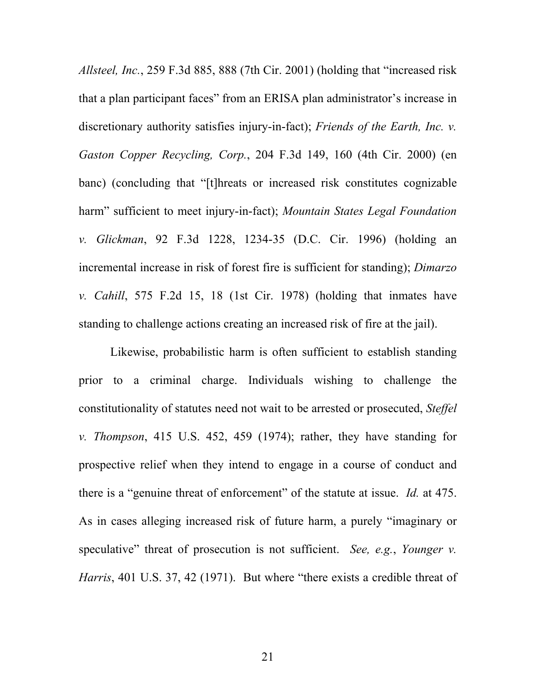*Allsteel, Inc.*, 259 F.3d 885, 888 (7th Cir. 2001) (holding that "increased risk that a plan participant faces" from an ERISA plan administrator's increase in discretionary authority satisfies injury-in-fact); *Friends of the Earth, Inc. v. Gaston Copper Recycling, Corp.*, 204 F.3d 149, 160 (4th Cir. 2000) (en banc) (concluding that "[t]hreats or increased risk constitutes cognizable harm" sufficient to meet injury-in-fact); *Mountain States Legal Foundation v. Glickman*, 92 F.3d 1228, 1234-35 (D.C. Cir. 1996) (holding an incremental increase in risk of forest fire is sufficient for standing); *Dimarzo v. Cahill*, 575 F.2d 15, 18 (1st Cir. 1978) (holding that inmates have standing to challenge actions creating an increased risk of fire at the jail).

Likewise, probabilistic harm is often sufficient to establish standing prior to a criminal charge. Individuals wishing to challenge the constitutionality of statutes need not wait to be arrested or prosecuted, *Steffel v. Thompson*, 415 U.S. 452, 459 (1974); rather, they have standing for prospective relief when they intend to engage in a course of conduct and there is a "genuine threat of enforcement" of the statute at issue. *Id.* at 475. As in cases alleging increased risk of future harm, a purely "imaginary or speculative" threat of prosecution is not sufficient. *See, e.g.*, *Younger v. Harris*, 401 U.S. 37, 42 (1971). But where "there exists a credible threat of

21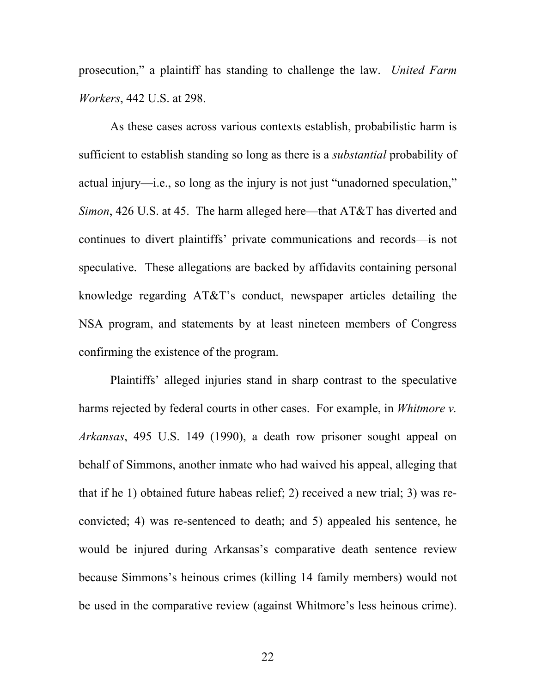prosecution," a plaintiff has standing to challenge the law. *United Farm Workers*, 442 U.S. at 298.

As these cases across various contexts establish, probabilistic harm is sufficient to establish standing so long as there is a *substantial* probability of actual injury—i.e., so long as the injury is not just "unadorned speculation," *Simon*, 426 U.S. at 45. The harm alleged here—that AT&T has diverted and continues to divert plaintiffs' private communications and records—is not speculative. These allegations are backed by affidavits containing personal knowledge regarding AT&T's conduct, newspaper articles detailing the NSA program, and statements by at least nineteen members of Congress confirming the existence of the program.

Plaintiffs' alleged injuries stand in sharp contrast to the speculative harms rejected by federal courts in other cases. For example, in *Whitmore v. Arkansas*, 495 U.S. 149 (1990), a death row prisoner sought appeal on behalf of Simmons, another inmate who had waived his appeal, alleging that that if he 1) obtained future habeas relief; 2) received a new trial; 3) was reconvicted; 4) was re-sentenced to death; and 5) appealed his sentence, he would be injured during Arkansas's comparative death sentence review because Simmons's heinous crimes (killing 14 family members) would not be used in the comparative review (against Whitmore's less heinous crime).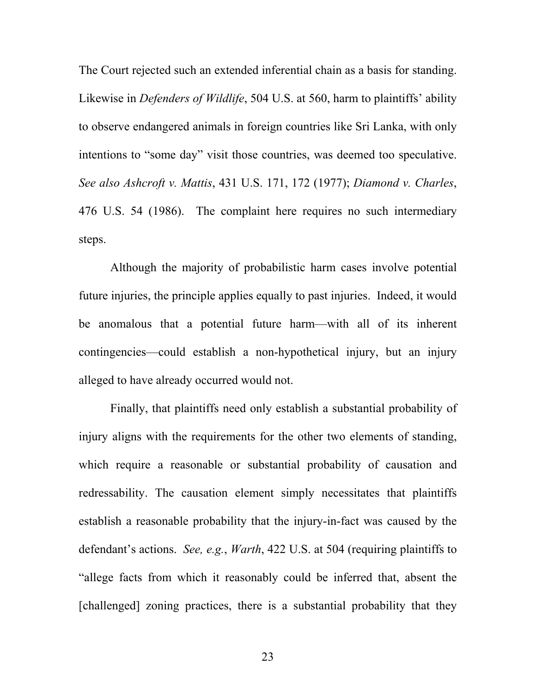The Court rejected such an extended inferential chain as a basis for standing. Likewise in *Defenders of Wildlife*, 504 U.S. at 560, harm to plaintiffs' ability to observe endangered animals in foreign countries like Sri Lanka, with only intentions to "some day" visit those countries, was deemed too speculative. *See also Ashcroft v. Mattis*, 431 U.S. 171, 172 (1977); *Diamond v. Charles*, 476 U.S. 54 (1986). The complaint here requires no such intermediary steps.

Although the majority of probabilistic harm cases involve potential future injuries, the principle applies equally to past injuries. Indeed, it would be anomalous that a potential future harm—with all of its inherent contingencies—could establish a non-hypothetical injury, but an injury alleged to have already occurred would not.

Finally, that plaintiffs need only establish a substantial probability of injury aligns with the requirements for the other two elements of standing, which require a reasonable or substantial probability of causation and redressability. The causation element simply necessitates that plaintiffs establish a reasonable probability that the injury-in-fact was caused by the defendant's actions. *See, e.g.*, *Warth*, 422 U.S. at 504 (requiring plaintiffs to "allege facts from which it reasonably could be inferred that, absent the [challenged] zoning practices, there is a substantial probability that they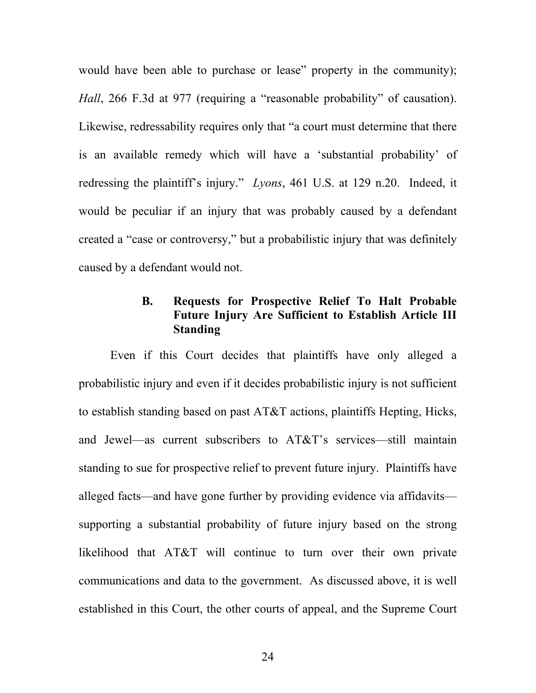would have been able to purchase or lease" property in the community); *Hall*, 266 F.3d at 977 (requiring a "reasonable probability" of causation). Likewise, redressability requires only that "a court must determine that there is an available remedy which will have a 'substantial probability' of redressing the plaintiff's injury." *Lyons*, 461 U.S. at 129 n.20. Indeed, it would be peculiar if an injury that was probably caused by a defendant created a "case or controversy," but a probabilistic injury that was definitely caused by a defendant would not.

## **B. Requests for Prospective Relief To Halt Probable Future Injury Are Sufficient to Establish Article III Standing**

Even if this Court decides that plaintiffs have only alleged a probabilistic injury and even if it decides probabilistic injury is not sufficient to establish standing based on past AT&T actions, plaintiffs Hepting, Hicks, and Jewel—as current subscribers to AT&T's services—still maintain standing to sue for prospective relief to prevent future injury. Plaintiffs have alleged facts—and have gone further by providing evidence via affidavits supporting a substantial probability of future injury based on the strong likelihood that AT&T will continue to turn over their own private communications and data to the government. As discussed above, it is well established in this Court, the other courts of appeal, and the Supreme Court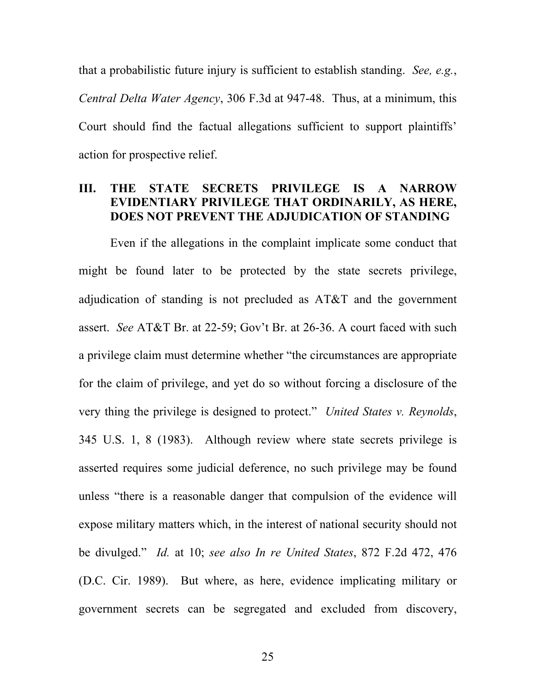that a probabilistic future injury is sufficient to establish standing. *See, e.g.*, *Central Delta Water Agency*, 306 F.3d at 947-48. Thus, at a minimum, this Court should find the factual allegations sufficient to support plaintiffs' action for prospective relief.

## **III. THE STATE SECRETS PRIVILEGE IS A NARROW EVIDENTIARY PRIVILEGE THAT ORDINARILY, AS HERE, DOES NOT PREVENT THE ADJUDICATION OF STANDING**

Even if the allegations in the complaint implicate some conduct that might be found later to be protected by the state secrets privilege, adjudication of standing is not precluded as AT&T and the government assert. *See* AT&T Br. at 22-59; Gov't Br. at 26-36. A court faced with such a privilege claim must determine whether "the circumstances are appropriate for the claim of privilege, and yet do so without forcing a disclosure of the very thing the privilege is designed to protect." *United States v. Reynolds*, 345 U.S. 1, 8 (1983). Although review where state secrets privilege is asserted requires some judicial deference, no such privilege may be found unless "there is a reasonable danger that compulsion of the evidence will expose military matters which, in the interest of national security should not be divulged." *Id.* at 10; *see also In re United States*, 872 F.2d 472, 476 (D.C. Cir. 1989). But where, as here, evidence implicating military or government secrets can be segregated and excluded from discovery,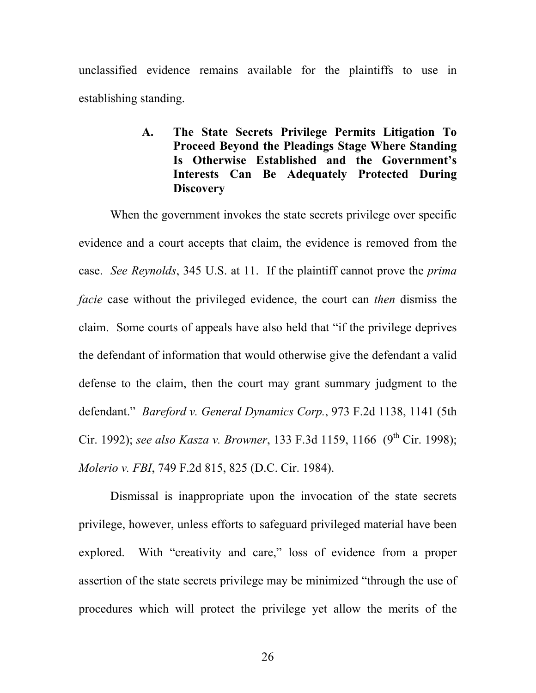unclassified evidence remains available for the plaintiffs to use in establishing standing.

## **A. The State Secrets Privilege Permits Litigation To Proceed Beyond the Pleadings Stage Where Standing Is Otherwise Established and the Government's Interests Can Be Adequately Protected During Discovery**

When the government invokes the state secrets privilege over specific evidence and a court accepts that claim, the evidence is removed from the case. *See Reynolds*, 345 U.S. at 11. If the plaintiff cannot prove the *prima facie* case without the privileged evidence, the court can *then* dismiss the claim. Some courts of appeals have also held that "if the privilege deprives the defendant of information that would otherwise give the defendant a valid defense to the claim, then the court may grant summary judgment to the defendant." *Bareford v. General Dynamics Corp.*, 973 F.2d 1138, 1141 (5th Cir. 1992); *see also Kasza v. Browner*, 133 F.3d 1159, 1166 (9<sup>th</sup> Cir. 1998); *Molerio v. FBI*, 749 F.2d 815, 825 (D.C. Cir. 1984).

Dismissal is inappropriate upon the invocation of the state secrets privilege, however, unless efforts to safeguard privileged material have been explored. With "creativity and care," loss of evidence from a proper assertion of the state secrets privilege may be minimized "through the use of procedures which will protect the privilege yet allow the merits of the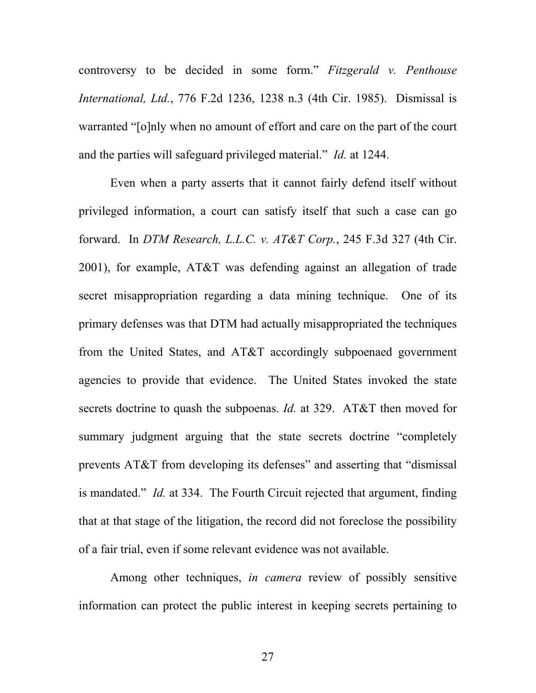controversy to be decided in some form." *Fitzgerald v. Penthouse International, Ltd.*, 776 F.2d 1236, 1238 n.3 (4th Cir. 1985). Dismissal is warranted "[o]nly when no amount of effort and care on the part of the court and the parties will safeguard privileged material." *Id.* at 1244.

Even when a party asserts that it cannot fairly defend itself without privileged information, a court can satisfy itself that such a case can go forward. In *DTM Research, L.L.C. v. AT&T Corp.*, 245 F.3d 327 (4th Cir. 2001), for example, AT&T was defending against an allegation of trade secret misappropriation regarding a data mining technique. One of its primary defenses was that DTM had actually misappropriated the techniques from the United States, and AT&T accordingly subpoenaed government agencies to provide that evidence. The United States invoked the state secrets doctrine to quash the subpoenas. *Id.* at 329. AT&T then moved for summary judgment arguing that the state secrets doctrine "completely prevents AT&T from developing its defenses" and asserting that "dismissal is mandated." *Id.* at 334. The Fourth Circuit rejected that argument, finding that at that stage of the litigation, the record did not foreclose the possibility of a fair trial, even if some relevant evidence was not available.

Among other techniques, *in camera* review of possibly sensitive information can protect the public interest in keeping secrets pertaining to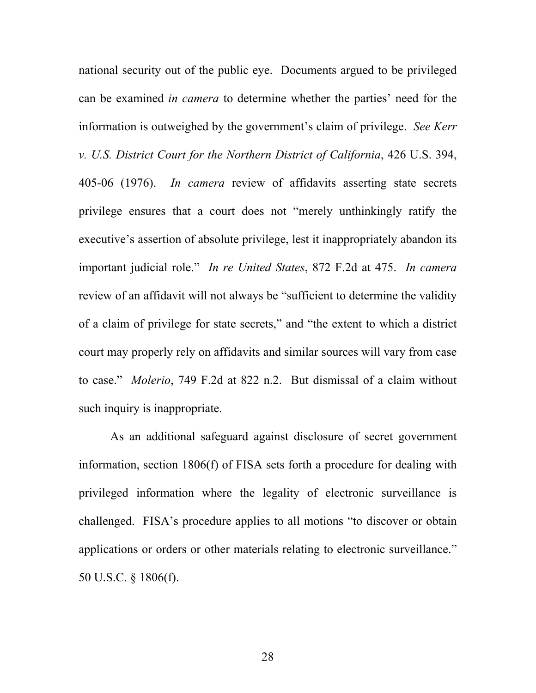national security out of the public eye. Documents argued to be privileged can be examined *in camera* to determine whether the parties' need for the information is outweighed by the government's claim of privilege. *See Kerr v. U.S. District Court for the Northern District of California*, 426 U.S. 394, 405-06 (1976). *In camera* review of affidavits asserting state secrets privilege ensures that a court does not "merely unthinkingly ratify the executive's assertion of absolute privilege, lest it inappropriately abandon its important judicial role." *In re United States*, 872 F.2d at 475. *In camera* review of an affidavit will not always be "sufficient to determine the validity of a claim of privilege for state secrets," and "the extent to which a district court may properly rely on affidavits and similar sources will vary from case to case." *Molerio*, 749 F.2d at 822 n.2. But dismissal of a claim without such inquiry is inappropriate.

As an additional safeguard against disclosure of secret government information, section 1806(f) of FISA sets forth a procedure for dealing with privileged information where the legality of electronic surveillance is challenged. FISA's procedure applies to all motions "to discover or obtain applications or orders or other materials relating to electronic surveillance." 50 U.S.C. § 1806(f).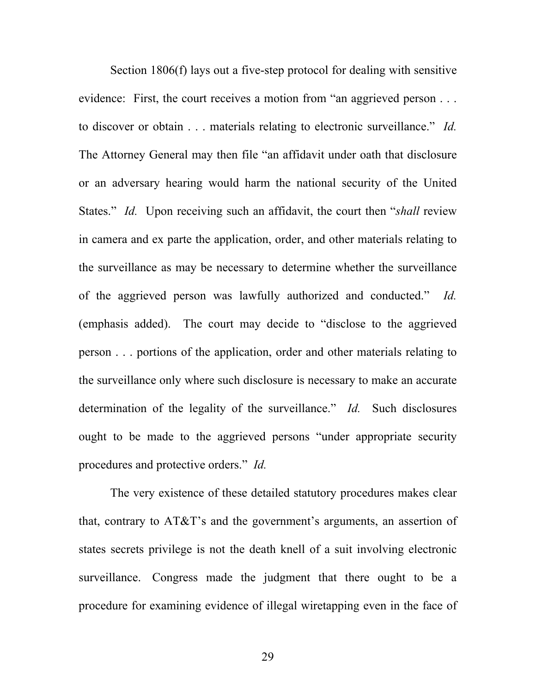Section 1806(f) lays out a five-step protocol for dealing with sensitive evidence: First, the court receives a motion from "an aggrieved person . . . to discover or obtain . . . materials relating to electronic surveillance." *Id.* The Attorney General may then file "an affidavit under oath that disclosure or an adversary hearing would harm the national security of the United States." *Id.* Upon receiving such an affidavit, the court then "*shall* review in camera and ex parte the application, order, and other materials relating to the surveillance as may be necessary to determine whether the surveillance of the aggrieved person was lawfully authorized and conducted." *Id.* (emphasis added). The court may decide to "disclose to the aggrieved person . . . portions of the application, order and other materials relating to the surveillance only where such disclosure is necessary to make an accurate determination of the legality of the surveillance." *Id.* Such disclosures ought to be made to the aggrieved persons "under appropriate security procedures and protective orders." *Id.*

The very existence of these detailed statutory procedures makes clear that, contrary to AT&T's and the government's arguments, an assertion of states secrets privilege is not the death knell of a suit involving electronic surveillance. Congress made the judgment that there ought to be a procedure for examining evidence of illegal wiretapping even in the face of

29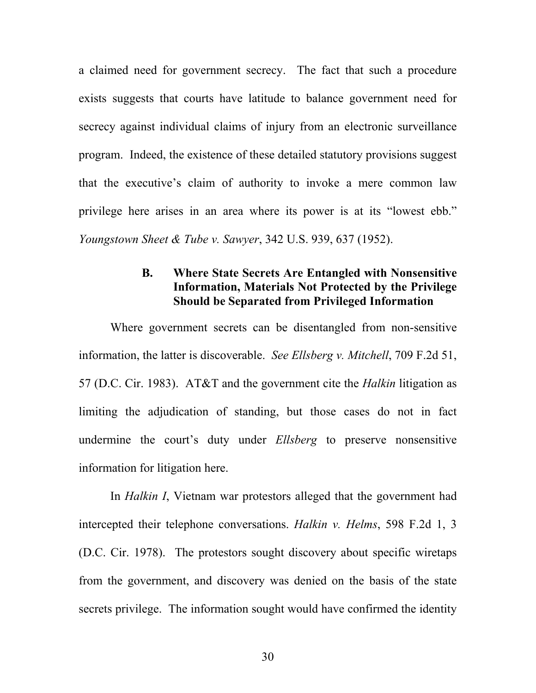a claimed need for government secrecy. The fact that such a procedure exists suggests that courts have latitude to balance government need for secrecy against individual claims of injury from an electronic surveillance program. Indeed, the existence of these detailed statutory provisions suggest that the executive's claim of authority to invoke a mere common law privilege here arises in an area where its power is at its "lowest ebb." *Youngstown Sheet & Tube v. Sawyer*, 342 U.S. 939, 637 (1952).

## **B. Where State Secrets Are Entangled with Nonsensitive Information, Materials Not Protected by the Privilege Should be Separated from Privileged Information**

Where government secrets can be disentangled from non-sensitive information, the latter is discoverable. *See Ellsberg v. Mitchell*, 709 F.2d 51, 57 (D.C. Cir. 1983). AT&T and the government cite the *Halkin* litigation as limiting the adjudication of standing, but those cases do not in fact undermine the court's duty under *Ellsberg* to preserve nonsensitive information for litigation here.

In *Halkin I*, Vietnam war protestors alleged that the government had intercepted their telephone conversations. *Halkin v. Helms*, 598 F.2d 1, 3 (D.C. Cir. 1978). The protestors sought discovery about specific wiretaps from the government, and discovery was denied on the basis of the state secrets privilege. The information sought would have confirmed the identity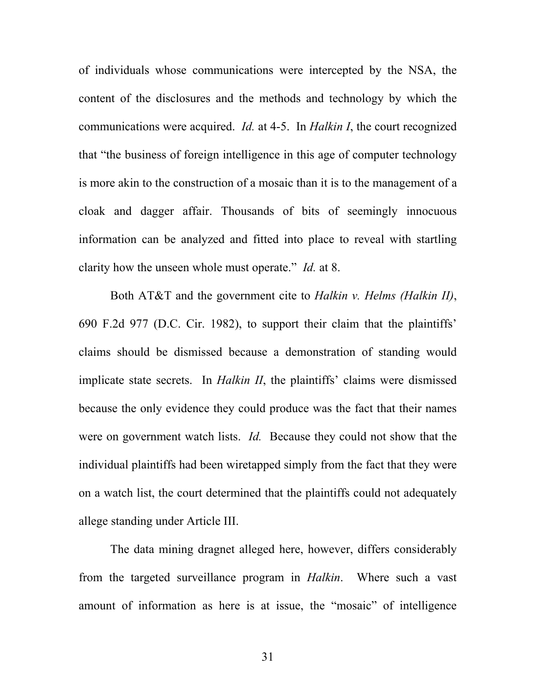of individuals whose communications were intercepted by the NSA, the content of the disclosures and the methods and technology by which the communications were acquired. *Id.* at 4-5. In *Halkin I*, the court recognized that "the business of foreign intelligence in this age of computer technology is more akin to the construction of a mosaic than it is to the management of a cloak and dagger affair. Thousands of bits of seemingly innocuous information can be analyzed and fitted into place to reveal with startling clarity how the unseen whole must operate." *Id.* at 8.

Both AT&T and the government cite to *Halkin v. Helms (Halkin II)*, 690 F.2d 977 (D.C. Cir. 1982), to support their claim that the plaintiffs' claims should be dismissed because a demonstration of standing would implicate state secrets. In *Halkin II*, the plaintiffs' claims were dismissed because the only evidence they could produce was the fact that their names were on government watch lists. *Id.* Because they could not show that the individual plaintiffs had been wiretapped simply from the fact that they were on a watch list, the court determined that the plaintiffs could not adequately allege standing under Article III.

The data mining dragnet alleged here, however, differs considerably from the targeted surveillance program in *Halkin*. Where such a vast amount of information as here is at issue, the "mosaic" of intelligence

31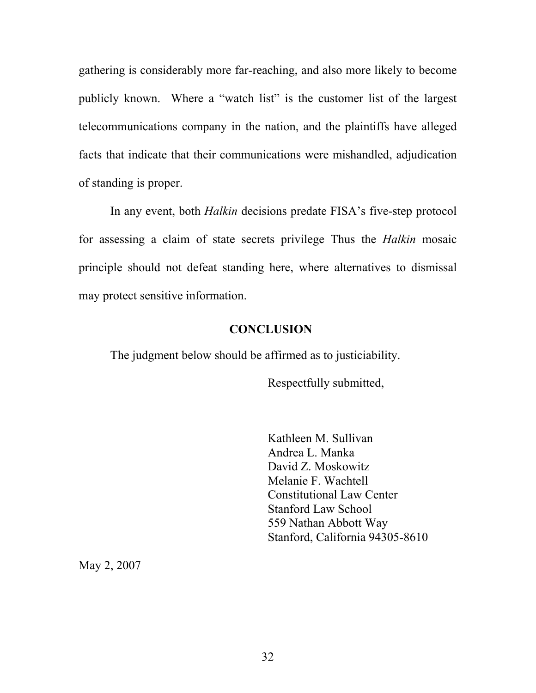gathering is considerably more far-reaching, and also more likely to become publicly known. Where a "watch list" is the customer list of the largest telecommunications company in the nation, and the plaintiffs have alleged facts that indicate that their communications were mishandled, adjudication of standing is proper.

In any event, both *Halkin* decisions predate FISA's five-step protocol for assessing a claim of state secrets privilege Thus the *Halkin* mosaic principle should not defeat standing here, where alternatives to dismissal may protect sensitive information.

#### **CONCLUSION**

The judgment below should be affirmed as to justiciability.

Respectfully submitted,

Kathleen M. Sullivan Andrea L. Manka David Z. Moskowitz Melanie F. Wachtell Constitutional Law Center Stanford Law School 559 Nathan Abbott Way Stanford, California 94305-8610

May 2, 2007